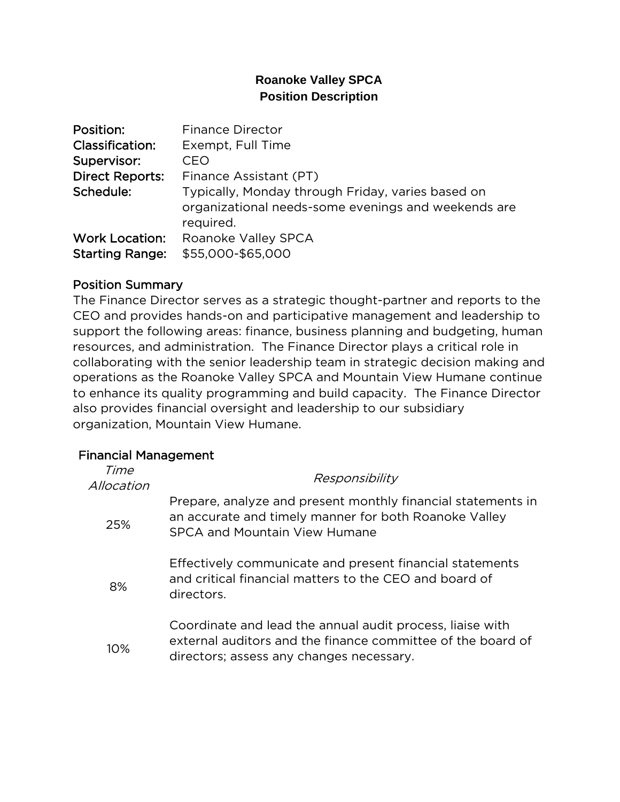## **Roanoke Valley SPCA Position Description**

| Position:              | <b>Finance Director</b>                                                                                               |
|------------------------|-----------------------------------------------------------------------------------------------------------------------|
| <b>Classification:</b> | Exempt, Full Time                                                                                                     |
| Supervisor:            | CEO                                                                                                                   |
| <b>Direct Reports:</b> | Finance Assistant (PT)                                                                                                |
| Schedule:              | Typically, Monday through Friday, varies based on<br>organizational needs-some evenings and weekends are<br>required. |
| <b>Work Location:</b>  | Roanoke Valley SPCA                                                                                                   |
| <b>Starting Range:</b> | \$55,000-\$65,000                                                                                                     |

#### Position Summary

The Finance Director serves as a strategic thought-partner and reports to the CEO and provides hands-on and participative management and leadership to support the following areas: finance, business planning and budgeting, human resources, and administration. The Finance Director plays a critical role in collaborating with the senior leadership team in strategic decision making and operations as the Roanoke Valley SPCA and Mountain View Humane continue to enhance its quality programming and build capacity. The Finance Director also provides financial oversight and leadership to our subsidiary organization, Mountain View Humane.

#### Financial Management

| Time<br>Allocation | Responsibility                                                                                                                                                       |
|--------------------|----------------------------------------------------------------------------------------------------------------------------------------------------------------------|
| 25%                | Prepare, analyze and present monthly financial statements in<br>an accurate and timely manner for both Roanoke Valley<br>SPCA and Mountain View Humane               |
| 8%                 | Effectively communicate and present financial statements<br>and critical financial matters to the CEO and board of<br>directors.                                     |
| 10%                | Coordinate and lead the annual audit process, liaise with<br>external auditors and the finance committee of the board of<br>directors; assess any changes necessary. |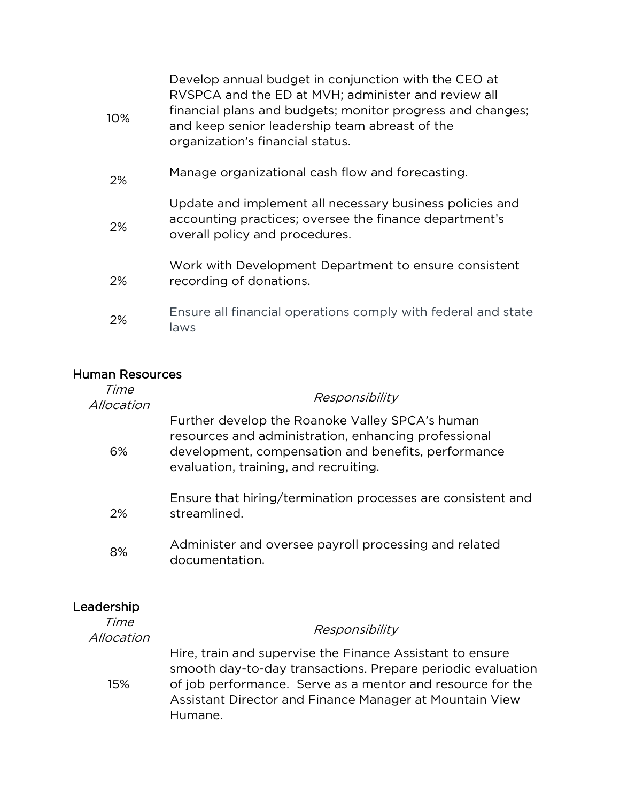| 10% | Develop annual budget in conjunction with the CEO at<br>RVSPCA and the ED at MVH; administer and review all<br>financial plans and budgets; monitor progress and changes;<br>and keep senior leadership team abreast of the<br>organization's financial status. |
|-----|-----------------------------------------------------------------------------------------------------------------------------------------------------------------------------------------------------------------------------------------------------------------|
| 2%  | Manage organizational cash flow and forecasting.                                                                                                                                                                                                                |
| 2%  | Update and implement all necessary business policies and<br>accounting practices; oversee the finance department's<br>overall policy and procedures.                                                                                                            |
| 2%  | Work with Development Department to ensure consistent<br>recording of donations.                                                                                                                                                                                |
| 2%  | Ensure all financial operations comply with federal and state<br>laws                                                                                                                                                                                           |

## Human Resources

| Time<br>Allocation | Responsibility                                                                                                                                                                                          |
|--------------------|---------------------------------------------------------------------------------------------------------------------------------------------------------------------------------------------------------|
| 6%                 | Further develop the Roanoke Valley SPCA's human<br>resources and administration, enhancing professional<br>development, compensation and benefits, performance<br>evaluation, training, and recruiting. |
| 2%                 | Ensure that hiring/termination processes are consistent and<br>streamlined.                                                                                                                             |
| 8%                 | Administer and oversee payroll processing and related<br>documentation.                                                                                                                                 |
|                    |                                                                                                                                                                                                         |

# Leadership

| Time<br>Allocation | Responsibility                                                                                                                                                                                                                                               |
|--------------------|--------------------------------------------------------------------------------------------------------------------------------------------------------------------------------------------------------------------------------------------------------------|
| 15%                | Hire, train and supervise the Finance Assistant to ensure<br>smooth day-to-day transactions. Prepare periodic evaluation<br>of job performance. Serve as a mentor and resource for the<br>Assistant Director and Finance Manager at Mountain View<br>Humane. |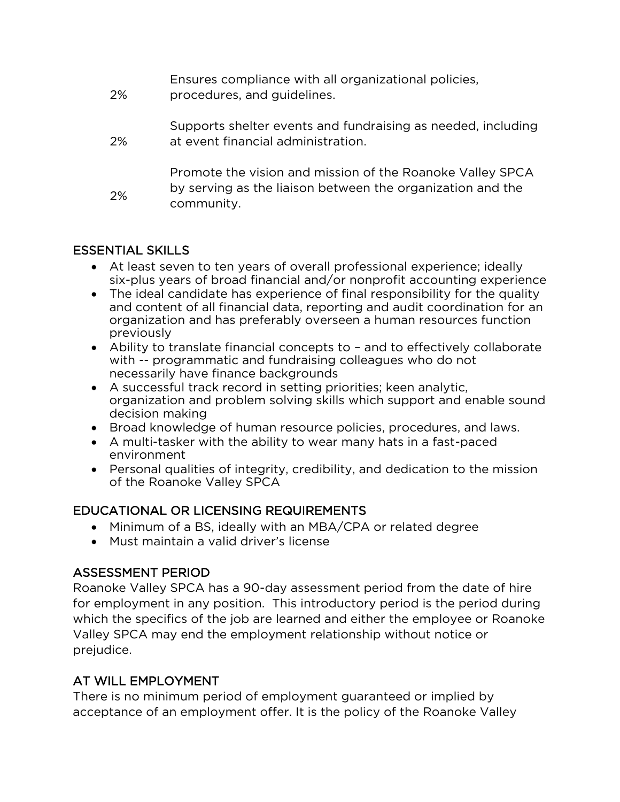| 2% | Ensures compliance with all organizational policies,<br>procedures, and guidelines.                                                   |
|----|---------------------------------------------------------------------------------------------------------------------------------------|
| 2% | Supports shelter events and fundraising as needed, including<br>at event financial administration.                                    |
| 2% | Promote the vision and mission of the Roanoke Valley SPCA<br>by serving as the liaison between the organization and the<br>community. |

## ESSENTIAL SKILLS

- At least seven to ten years of overall professional experience; ideally six-plus years of broad financial and/or nonprofit accounting experience
- The ideal candidate has experience of final responsibility for the quality and content of all financial data, reporting and audit coordination for an organization and has preferably overseen a human resources function previously
- Ability to translate financial concepts to and to effectively collaborate with -- programmatic and fundraising colleagues who do not necessarily have finance backgrounds
- A successful track record in setting priorities; keen analytic, organization and problem solving skills which support and enable sound decision making
- Broad knowledge of human resource policies, procedures, and laws.
- A multi-tasker with the ability to wear many hats in a fast-paced environment
- Personal qualities of integrity, credibility, and dedication to the mission of the Roanoke Valley SPCA

## EDUCATIONAL OR LICENSING REQUIREMENTS

- Minimum of a BS, ideally with an MBA/CPA or related degree
- Must maintain a valid driver's license

## ASSESSMENT PERIOD

Roanoke Valley SPCA has a 90-day assessment period from the date of hire for employment in any position. This introductory period is the period during which the specifics of the job are learned and either the employee or Roanoke Valley SPCA may end the employment relationship without notice or prejudice.

# AT WILL EMPLOYMENT

There is no minimum period of employment guaranteed or implied by acceptance of an employment offer. It is the policy of the Roanoke Valley